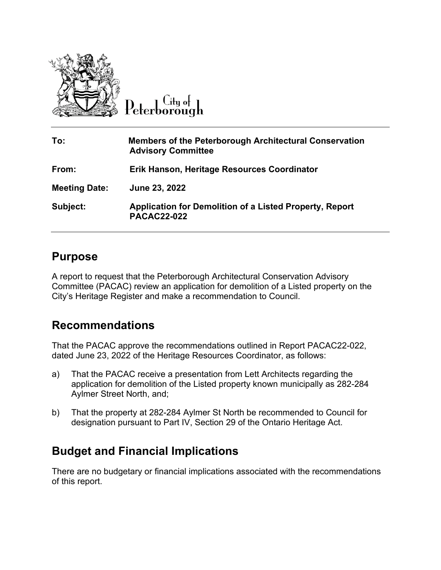

 $C$ ity of Peterborough

| To:                  | <b>Members of the Peterborough Architectural Conservation</b><br><b>Advisory Committee</b> |
|----------------------|--------------------------------------------------------------------------------------------|
| From:                | Erik Hanson, Heritage Resources Coordinator                                                |
| <b>Meeting Date:</b> | June 23, 2022                                                                              |
| Subject:             | <b>Application for Demolition of a Listed Property, Report</b><br><b>PACAC22-022</b>       |

### **Purpose**

A report to request that the Peterborough Architectural Conservation Advisory Committee (PACAC) review an application for demolition of a Listed property on the City's Heritage Register and make a recommendation to Council.

## **Recommendations**

That the PACAC approve the recommendations outlined in Report PACAC22-022, dated June 23, 2022 of the Heritage Resources Coordinator, as follows:

- a) That the PACAC receive a presentation from Lett Architects regarding the application for demolition of the Listed property known municipally as 282-284 Aylmer Street North, and;
- b) That the property at 282-284 Aylmer St North be recommended to Council for designation pursuant to Part IV, Section 29 of the Ontario Heritage Act.

# **Budget and Financial Implications**

There are no budgetary or financial implications associated with the recommendations of this report.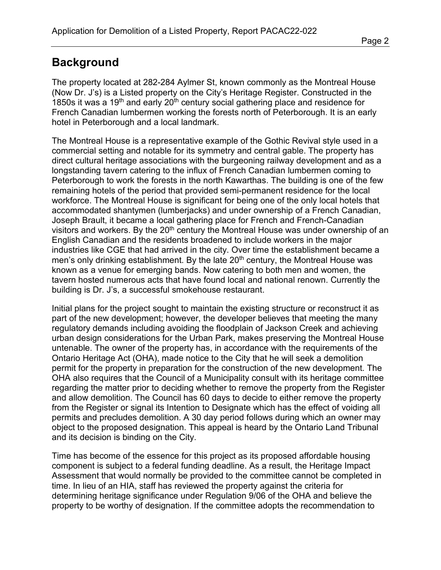# **Background**

The property located at 282-284 Aylmer St, known commonly as the Montreal House (Now Dr. J's) is a Listed property on the City's Heritage Register. Constructed in the 1850s it was a 19<sup>th</sup> and early 20<sup>th</sup> century social gathering place and residence for French Canadian lumbermen working the forests north of Peterborough. It is an early hotel in Peterborough and a local landmark.

The Montreal House is a representative example of the Gothic Revival style used in a commercial setting and notable for its symmetry and central gable. The property has direct cultural heritage associations with the burgeoning railway development and as a longstanding tavern catering to the influx of French Canadian lumbermen coming to Peterborough to work the forests in the north Kawarthas. The building is one of the few remaining hotels of the period that provided semi-permanent residence for the local workforce. The Montreal House is significant for being one of the only local hotels that accommodated shantymen (lumberjacks) and under ownership of a French Canadian, Joseph Brault, it became a local gathering place for French and French-Canadian visitors and workers. By the  $20<sup>th</sup>$  century the Montreal House was under ownership of an English Canadian and the residents broadened to include workers in the major industries like CGE that had arrived in the city. Over time the establishment became a men's only drinking establishment. By the late 20<sup>th</sup> century, the Montreal House was known as a venue for emerging bands. Now catering to both men and women, the tavern hosted numerous acts that have found local and national renown. Currently the building is Dr. J's, a successful smokehouse restaurant.

Initial plans for the project sought to maintain the existing structure or reconstruct it as part of the new development; however, the developer believes that meeting the many regulatory demands including avoiding the floodplain of Jackson Creek and achieving urban design considerations for the Urban Park, makes preserving the Montreal House untenable. The owner of the property has, in accordance with the requirements of the Ontario Heritage Act (OHA), made notice to the City that he will seek a demolition permit for the property in preparation for the construction of the new development. The OHA also requires that the Council of a Municipality consult with its heritage committee regarding the matter prior to deciding whether to remove the property from the Register and allow demolition. The Council has 60 days to decide to either remove the property from the Register or signal its Intention to Designate which has the effect of voiding all permits and precludes demolition. A 30 day period follows during which an owner may object to the proposed designation. This appeal is heard by the Ontario Land Tribunal and its decision is binding on the City.

Time has become of the essence for this project as its proposed affordable housing component is subject to a federal funding deadline. As a result, the Heritage Impact Assessment that would normally be provided to the committee cannot be completed in time. In lieu of an HIA, staff has reviewed the property against the criteria for determining heritage significance under Regulation 9/06 of the OHA and believe the property to be worthy of designation. If the committee adopts the recommendation to